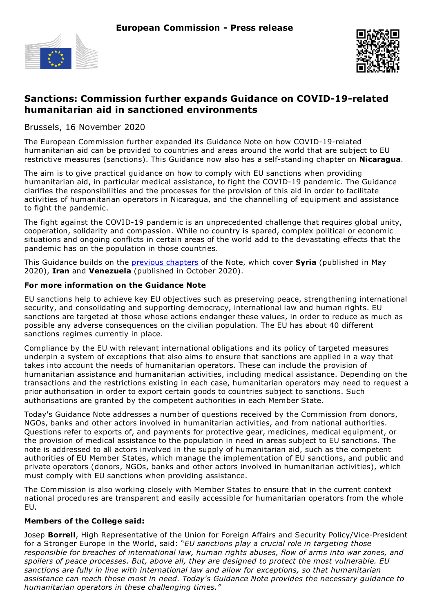



# **Sanctions: Commission further expands Guidance on COVID-19-related humanitarian aid in sanctioned environments**

Brussels, 16 November 2020

The European Commission further expanded its Guidance Note on how COVID-19-related humanitarian aid can be provided to countries and areas around the world that are subject to EU restrictive measures (sanctions). This Guidance now also has a self-standing chapter on **Nicaragua**.

The aim is to give practical guidance on how to comply with EU sanctions when providing humanitarian aid, in particular medical assistance, to fight the COVID-19 pandemic. The Guidance clarifies the responsibilities and the processes for the provision of this aid in order to facilitate activities of humanitarian operators in Nicaragua, and the channelling of equipment and assistance to fight the pandemic.

The fight against the COVID-19 pandemic is an unprecedented challenge that requires global unity, cooperation, solidarity and compassion. While no country is spared, complex political or economic situations and ongoing conflicts in certain areas of the world add to the devastating effects that the pandemic has on the population in those countries.

This Guidance builds on the previous [chapters](https://ec.europa.eu/info/business-economy-euro/banking-and-finance/international-relations/restrictive-measures-sanctions_en#guidance) of the Note, which cover **Syria** (published in May 2020), **Iran** and **Venezuela** (published in October 2020).

## **For more information on the Guidance Note**

EU sanctions help to achieve key EU objectives such as preserving peace, strengthening international security, and consolidating and supporting democracy, international law and human rights. EU sanctions are targeted at those whose actions endanger these values, in order to reduce as much as possible any adverse consequences on the civilian population. The EU has about 40 different sanctions regimes currently in place.

Compliance by the EU with relevant international obligations and its policy of targeted measures underpin a system of exceptions that also aims to ensure that sanctions are applied in a way that takes into account the needs of humanitarian operators. These can include the provision of humanitarian assistance and humanitarian activities, including medical assistance. Depending on the transactions and the restrictions existing in each case, humanitarian operators may need to request a prior authorisation in order to export certain goods to countries subject to sanctions. Such authorisations are granted by the competent authorities in each Member State.

Today's Guidance Note addresses a number of questions received by the Commission from donors, NGOs, banks and other actors involved in humanitarian activities, and from national authorities. Questions refer to exports of, and payments for protective gear, medicines, medical equipment, or the provision of medical assistance to the population in need in areas subject to EU sanctions. The note is addressed to all actors involved in the supply of humanitarian aid, such as the competent authorities of EU Member States, which manage the implementation of EU sanctions, and public and private operators (donors, NGOs, banks and other actors involved in humanitarian activities), which must comply with EU sanctions when providing assistance.

The Commission is also working closely with Member States to ensure that in the current context national procedures are transparent and easily accessible for humanitarian operators from the whole EU.

### **Members of the College said:**

Josep **Borrell**, High Representative of the Union for Foreign Affairs and Security Policy/Vice-President for a Stronger Europe in the World, said: "*EU sanctions play a crucial role in targeting those responsible for breaches of international law, human rights abuses, flow of arms into war zones, and spoilers of peace processes. But, above all, they are designed to protect the most vulnerable. EU sanctions are fully in line with international law and allow for exceptions, so that humanitarian assistance can reach those most in need. Today's Guidance Note provides the necessary guidance to humanitarian operators in these challenging times."*